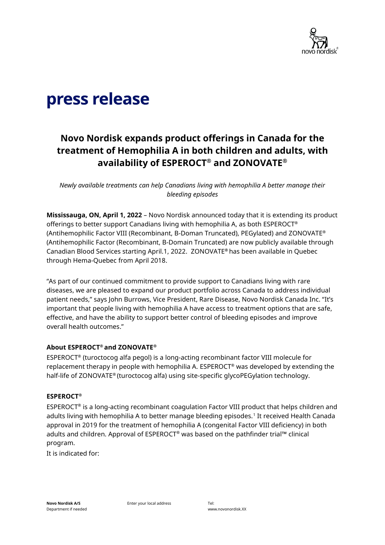

# press release

## **Novo Nordisk expands product offerings in Canada for the treatment of Hemophilia A in both children and adults, with availability of ESPEROCT® and ZONOVATE®**

*Newly available treatments can help Canadians living with hemophilia A better manage their bleeding episodes*

**Mississauga, ON, April 1, 2022** – Novo Nordisk announced today that it is extending its product offerings to better support Canadians living with hemophilia A, as both ESPEROCT® (Antihemophilic Factor VIII (Recombinant, B-Doman Truncated), PEGylated) and ZONOVATE® (Antihemophilic Factor (Recombinant, B-Domain Truncated) are now publicly available through Canadian Blood Services starting April.1, 2022. ZONOVATE**®** has been available in Quebec through Hema-Quebec from April 2018.

"As part of our continued commitment to provide support to Canadians living with rare diseases, we are pleased to expand our product portfolio across Canada to address individual patient needs," says John Burrows, Vice President, Rare Disease, Novo Nordisk Canada Inc. "It's important that people living with hemophilia A have access to treatment options that are safe, effective, and have the ability to support better control of bleeding episodes and improve overall health outcomes."

#### **About ESPEROCT® and ZONOVATE®**

ESPEROCT® (turoctocog alfa pegol) is a long-acting recombinant factor VIII molecule for replacement therapy in people with hemophilia A. ESPEROCT® was developed by extending the half-life of ZONOVATE® (turoctocog alfa) using site-specific glycoPEGylation technology.

#### **ESPEROCT®**

ESPEROCT® is a long-acting recombinant coagulation Factor VIII product that helps children and adults living with hemophilia A to better manage bleeding episodes.<sup>1</sup> It received Health Canada approval in 2019 for the treatment of hemophilia A (congenital Factor VIII deficiency) in both adults and children. Approval of ESPEROCT® was based on the pathfinder trial™ clinical program.

It is indicated for:

Enter your local address Tel: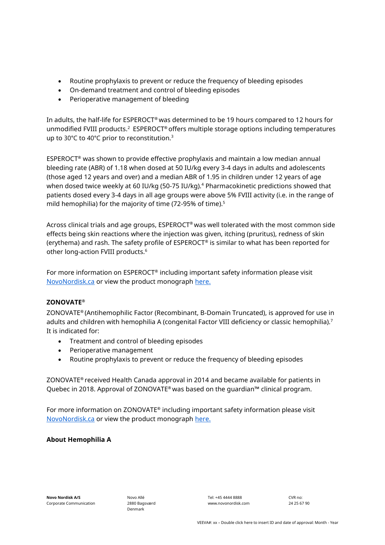- Routine prophylaxis to prevent or reduce the frequency of bleeding episodes
- On-demand treatment and control of bleeding episodes
- Perioperative management of bleeding

In adults, the half-life for ESPEROCT® was determined to be 19 hours compared to 12 hours for unmodified FVIII products.<sup>2</sup> ESPEROCT® offers multiple storage options including temperatures up to 30°C to 40°C prior to reconstitution.<sup>3</sup>

ESPEROCT® was shown to provide effective prophylaxis and maintain a low median annual bleeding rate (ABR) of 1.18 when dosed at 50 IU/kg every 3-4 days in adults and adolescents (those aged 12 years and over) and a median ABR of 1.95 in children under 12 years of age when dosed twice weekly at 60 IU/kg (50-75 IU/kg).<sup>4</sup> Pharmacokinetic predictions showed that patients dosed every 3-4 days in all age groups were above 5% FVIII activity (i.e. in the range of mild hemophilia) for the majority of time (72-95% of time).<sup>5</sup>

Across clinical trials and age groups, ESPEROCT® was well tolerated with the most common side effects being skin reactions where the injection was given, itching (pruritus), redness of skin (erythema) and rash. The safety profile of ESPEROCT® is similar to what has been reported for other long-action FVIII products.<sup>6</sup>

For more information on ESPEROCT® including important safety information please visit [NovoNordisk.ca](https://www.novonordisk.ca/) or view the product monograph [here.](https://www.novonordisk.ca/content/dam/nncorp/ca/en/products/esperoct-product-monograph.pdf)

#### **ZONOVATE®**

ZONOVATE® (Antihemophilic Factor (Recombinant, B-Domain Truncated), is approved for use in adults and children with hemophilia A (congenital Factor VIII deficiency or classic hemophilia).<sup>7</sup> It is indicated for:

- Treatment and control of bleeding episodes
- Perioperative management
- Routine prophylaxis to prevent or reduce the frequency of bleeding episodes

ZONOVATE® received Health Canada approval in 2014 and became available for patients in Quebec in 2018. Approval of ZONOVATE® was based on the guardian™ clinical program.

For more information on ZONOVATE® including important safety information please visit [NovoNordisk.ca](https://www.novonordisk.ca/) or view the product monograph [here.](https://www.novonordisk.ca/content/dam/nncorp/ca/en/products/Zonovate_PM_English.pdf)

#### **About Hemophilia A**

Tel: +45 4444 8888 www.novonordisk.com

CVR no: 24 25 67 90